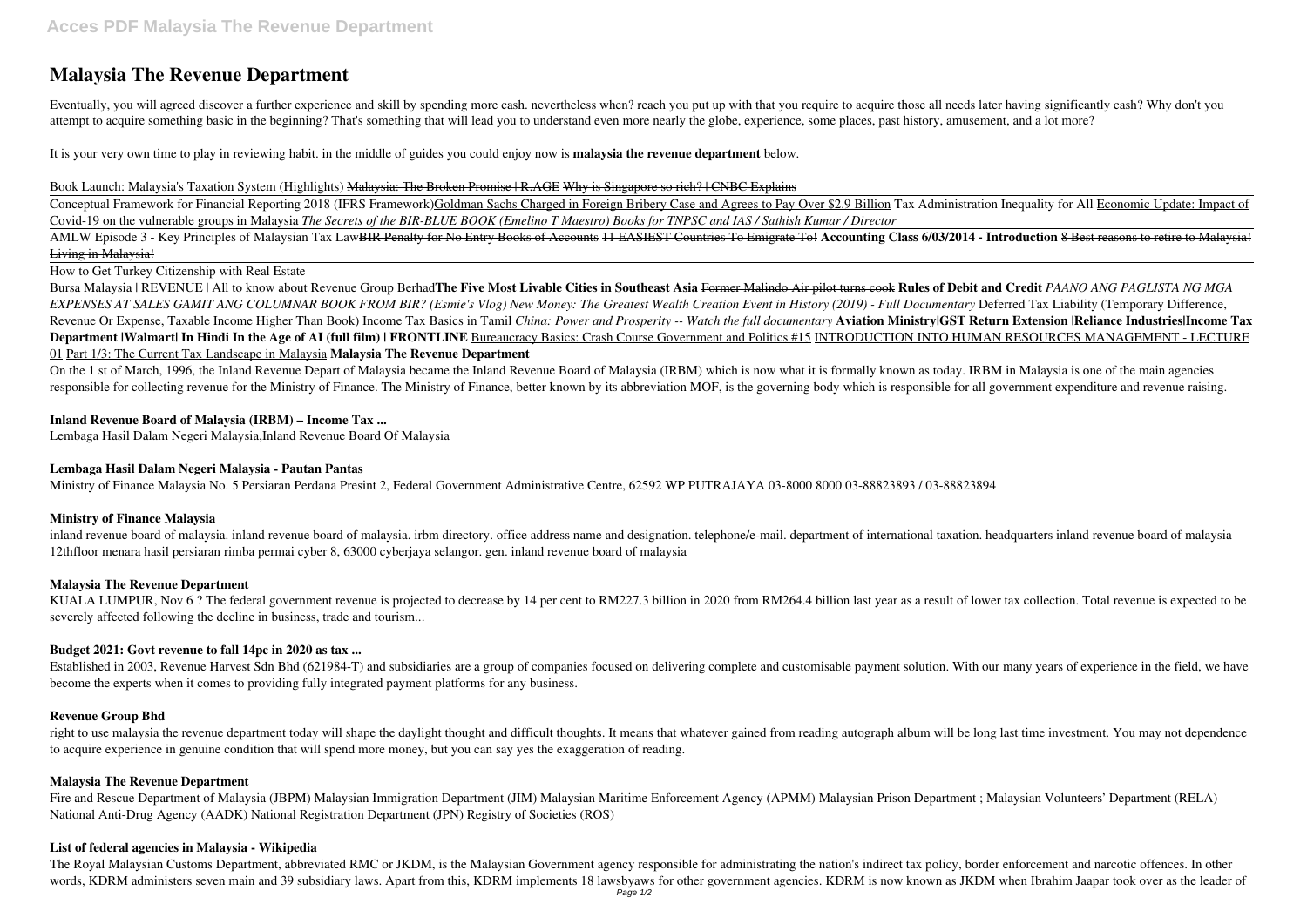# **Malaysia The Revenue Department**

Eventually, you will agreed discover a further experience and skill by spending more cash. nevertheless when? reach you put up with that you require to acquire those all needs later having significantly cash? Why don't you attempt to acquire something basic in the beginning? That's something that will lead you to understand even more nearly the globe, experience, some places, past history, amusement, and a lot more?

It is your very own time to play in reviewing habit. in the middle of guides you could enjoy now is **malaysia the revenue department** below.

Conceptual Framework for Financial Reporting 2018 (IFRS Framework)Goldman Sachs Charged in Foreign Bribery Case and Agrees to Pay Over \$2.9 Billion Tax Administration Inequality for All Economic Update: Impact of Covid-19 on the vulnerable groups in Malaysia *The Secrets of the BIR-BLUE BOOK (Emelino T Maestro) Books for TNPSC and IAS / Sathish Kumar / Director*

#### Book Launch: Malaysia's Taxation System (Highlights) Malaysia: The Broken Promise | R.AGE Why is Singapore so rich? | CNBC Explains

AMLW Episode 3 - Key Principles of Malaysian Tax Law<del>BIR Penalty for No Entry Books of Accounts 11 EASIEST Countries To Emigrate To!</del> Accounting Class 6/03/2014 - Introduction 8 Best reasons to retire to Malaysia! Living in Malaysia!

How to Get Turkey Citizenship with Real Estate

Bursa Malaysia | REVENUE | All to know about Revenue Group Berhad**The Five Most Livable Cities in Southeast Asia** Former Malindo Air pilot turns cook **Rules of Debit and Credit** *PAANO ANG PAGLISTA NG MGA EXPENSES AT SALES GAMIT ANG COLUMNAR BOOK FROM BIR? (Esmie's Vlog) New Money: The Greatest Wealth Creation Event in History (2019) - Full Documentary* Deferred Tax Liability (Temporary Difference, Revenue Or Expense, Taxable Income Higher Than Book) Income Tax Basics in Tamil *China: Power and Prosperity -- Watch the full documentary* **Aviation Ministry|GST Return Extension |Reliance Industries|Income Tax Department |Walmart| In Hindi In the Age of AI (full film) | FRONTLINE** Bureaucracy Basics: Crash Course Government and Politics #15 INTRODUCTION INTO HUMAN RESOURCES MANAGEMENT - LECTURE 01 Part 1/3: The Current Tax Landscape in Malaysia **Malaysia The Revenue Department**

KUALA LUMPUR, Nov 6 ? The federal government revenue is projected to decrease by 14 per cent to RM227.3 billion in 2020 from RM264.4 billion last year as a result of lower tax collection. Total revenue is expected to be severely affected following the decline in business, trade and tourism...

right to use malaysia the revenue department today will shape the daylight thought and difficult thoughts. It means that whatever gained from reading autograph album will be long last time investment. You may not dependenc to acquire experience in genuine condition that will spend more money, but you can say yes the exaggeration of reading.

Fire and Rescue Department of Malaysia (JBPM) Malaysian Immigration Department (JIM) Malaysian Maritime Enforcement Agency (APMM) Malaysian Prison Department ; Malaysian Volunteers' Department (RELA) National Anti-Drug Agency (AADK) National Registration Department (JPN) Registry of Societies (ROS)

The Royal Malaysian Customs Department, abbreviated RMC or JKDM, is the Malaysian Government agency responsible for administrating the nation's indirect tax policy, border enforcement and narcotic offences. In other words, KDRM administers seven main and 39 subsidiary laws. Apart from this, KDRM implements 18 lawsbyaws for other government agencies. KDRM is now known as JKDM when Ibrahim Jaapar took over as the leader of

On the 1 st of March, 1996, the Inland Revenue Depart of Malaysia became the Inland Revenue Board of Malaysia (IRBM) which is now what it is formally known as today. IRBM in Malaysia is one of the main agencies responsible for collecting revenue for the Ministry of Finance. The Ministry of Finance, better known by its abbreviation MOF, is the governing body which is responsible for all government expenditure and revenue raising.

## **Inland Revenue Board of Malaysia (IRBM) – Income Tax ...**

Lembaga Hasil Dalam Negeri Malaysia,Inland Revenue Board Of Malaysia

## **Lembaga Hasil Dalam Negeri Malaysia - Pautan Pantas**

Ministry of Finance Malaysia No. 5 Persiaran Perdana Presint 2, Federal Government Administrative Centre, 62592 WP PUTRAJAYA 03-8000 8000 03-88823893 / 03-88823894

## **Ministry of Finance Malaysia**

inland revenue board of malaysia. inland revenue board of malaysia. irbm directory. office address name and designation. telephone/e-mail. department of international taxation. headquarters inland revenue board of malaysia 12thfloor menara hasil persiaran rimba permai cyber 8, 63000 cyberjaya selangor. gen. inland revenue board of malaysia

# **Malaysia The Revenue Department**

# **Budget 2021: Govt revenue to fall 14pc in 2020 as tax ...**

Established in 2003, Revenue Harvest Sdn Bhd (621984-T) and subsidiaries are a group of companies focused on delivering complete and customisable payment solution. With our many years of experience in the field, we have become the experts when it comes to providing fully integrated payment platforms for any business.

## **Revenue Group Bhd**

## **Malaysia The Revenue Department**

## **List of federal agencies in Malaysia - Wikipedia**